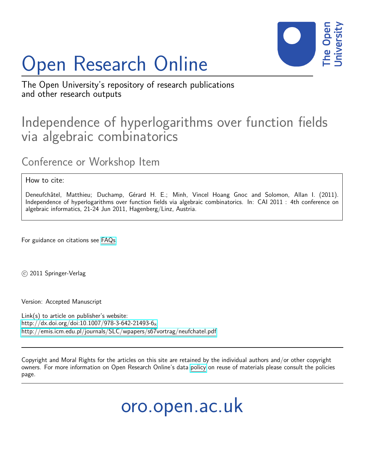# Open Research Online



The Open University's repository of research publications and other research outputs

# Independence of hyperlogarithms over function fields via algebraic combinatorics

Conference or Workshop Item

# How to cite:

Deneufchâtel, Matthieu; Duchamp, Gérard H. E.; Minh, Vincel Hoang Gnoc and Solomon, Allan I. (2011). Independence of hyperlogarithms over function fields via algebraic combinatorics. In: CAI 2011 : 4th conference on algebraic informatics, 21-24 Jun 2011, Hagenberg/Linz, Austria.

For guidance on citations see [FAQs.](http://oro.open.ac.uk/help/helpfaq.html)

c 2011 Springer-Verlag

Version: Accepted Manuscript

Link(s) to article on publisher's website: [http://dx.doi.org/doi:10.1007/978-3-642-21493-6](http://dx.doi.org/doi:10.1007/978-3-642-21493-6_8)8 <http://emis.icm.edu.pl/journals/SLC/wpapers/s67vortrag/neufchatel.pdf>

Copyright and Moral Rights for the articles on this site are retained by the individual authors and/or other copyright owners. For more information on Open Research Online's data [policy](http://oro.open.ac.uk/policies.html) on reuse of materials please consult the policies page.

oro.open.ac.uk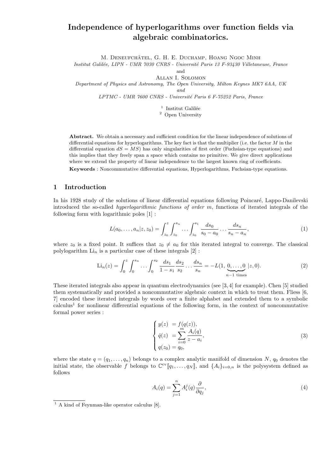# Independence of hyperlogarithms over function fields via algebraic combinatorics.

M. DENEUFCHÂTEL, G. H. E. DUCHAMP, HOANG NGOC MINH

Institut Galilée, LIPN - UMR 7030 CNRS - Université Paris 13 F-93430 Villetaneuse, France

and

Allan I. Solomon

Department of Physics and Astronomy, The Open University, Milton Keynes MK7 6AA, UK

and

LPTMC - UMR 7600 CNRS - Université Paris 6 F-75252 Paris, France

 $^{\rm 1}$  Institut Galilée

<sup>2</sup> Open University

Abstract. We obtain a necessary and sufficient condition for the linear independence of solutions of differential equations for hyperlogarithms. The key fact is that the multiplier (i.e. the factor  $M$  in the differential equation  $dS = MS$ ) has only singularities of first order (Fuchsian-type equations) and this implies that they freely span a space which contains no primitive. We give direct applications where we extend the property of linear independence to the largest known ring of coefficients.

Keywords : Noncommutative differential equations, Hyperlogarithms, Fuchsian-type equations.

# 1 Introduction

In his 1928 study of the solutions of linear differential equations following Poincaré, Lappo-Danilevski introduced the so-called hyperlogarithmic functions of order m, functions of iterated integrals of the following form with logarithmic poles [1] :

$$
L(a_0, \ldots, a_n | z, z_0) = \int_{z_0}^z \int_{z_0}^{s_n} \ldots \int_{z_0}^{s_1} \frac{ds_0}{s_0 - a_0} \ldots \frac{ds_n}{s_n - a_n},
$$
\n(1)

where  $z_0$  is a fixed point. It suffices that  $z_0 \neq a_0$  for this iterated integral to converge. The classical polylogarithm  $\mathrm{Li}_n$  is a particular case of these integrals  $[2]$ :

$$
\text{Li}_n(z) = \int_0^z \int_0^{s_n} \dots \int_0^{s_2} \frac{ds_1}{1 - s_1} \frac{ds_2}{s_2} \dots \frac{ds_n}{s_n} = -L(1, \underbrace{0, \dots, 0}_{n-1 \text{ times}} | z, 0).
$$
\n(2)

These iterated integrals also appear in quantum electrodynamics (see [3, 4] for example). Chen [5] studied them systematically and provided a noncommutative algebraic context in which to treat them. Fliess [6, 7] encoded these iterated integrals by words over a finite alphabet and extended them to a symbolic  $\alpha$ calculus<sup>1</sup> for nonlinear differential equations of the following form, in the context of noncommutative formal power series :

$$
\begin{cases}\ny(z) &= f(q(z)), \\
\dot{q}(z) &= \sum_{i=0}^{m} \frac{A_i(q)}{z - a_i}, \\
q(z_0) &= q_0,\n\end{cases}
$$
\n(3)

where the state  $q = (q_1, \ldots, q_n)$  belongs to a complex analytic manifold of dimension N,  $q_0$  denotes the initial state, the observable f belongs to  $\mathbb{C}^{\text{cv}}[q_1,\ldots,q_N]$ , and  $\{A_i\}_{i=0,n}$  is the polysystem defined as follows

$$
A_i(q) = \sum_{j=1}^n A_i^j(q) \frac{\partial}{\partial q_j},\tag{4}
$$

<sup>&</sup>lt;sup>1</sup> A kind of Feynman-like operator calculus [8].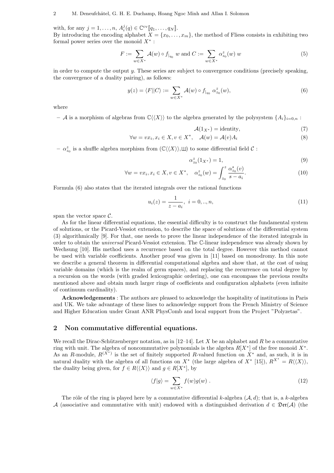with, for any  $j = 1, \ldots, n$ ,  $A_i^j(q) \in \mathbb{C}^{\text{cv}}[\![q_1, \ldots, q_N]\!]$ .

By introducing the encoding alphabet  $X = \{x_0, \ldots, x_m\}$ , the method of Fliess consists in exhibiting two formal power series over the monoid  $X^*$ :

$$
F := \sum_{w \in X^*} \mathcal{A}(w) \circ f_{|_{q_0}} w \text{ and } C := \sum_{w \in X^*} \alpha_{z_0}^z(w) w \tag{5}
$$

in order to compute the output  $y$ . These series are subject to convergence conditions (precisely speaking, the convergence of a duality pairing), as follows:

$$
y(z) = \langle F||C\rangle := \sum_{w \in X^*} \mathcal{A}(w) \circ f_{|_{q_0}} \alpha_{z_0}^z(w), \tag{6}
$$

where

– A is a morphism of algebras from  $\mathbb{C}\langle\langle X\rangle\rangle$  to the algebra generated by the polysystem  $\{A_i\}_{i=0,n}$ :

$$
\mathcal{A}(1_{X^*}) = identity,\t\t(7)
$$

$$
\forall w = vx_i, x_i \in X, v \in X^*, \quad \mathcal{A}(w) = \mathcal{A}(v)A_i
$$
\n
$$
(8)
$$

 $- \alpha_{z_0}^z$  is a shuffle algebra morphism from  $(\mathbb{C}\langle\langle X\rangle\rangle,\sqcup)$  to some differential field  $\mathcal C$ :

$$
\alpha_{z_0}^z(1_{X^*}) = 1,\tag{9}
$$

$$
\forall w = vx_i, x_i \in X, v \in X^*, \quad \alpha_{z_0}^z(w) = \int_{z_0}^z \frac{\alpha_{z_0}^s(v)}{s - a_i}.
$$
\n(10)

Formula (6) also states that the iterated integrals over the rational functions

$$
u_i(z) = \frac{1}{z - a_i}, \ i = 0, ..., n,
$$
\n(11)

span the vector space  $\mathcal{C}$ .

As for the linear differential equations, the essential difficulty is to construct the fundamental system of solutions, or the Picard-Vessiot extension, to describe the space of solutions of the differential system (3) algorithmically [9]. For that, one needs to prove the linear independence of the iterated integrals in order to obtain the universal Picard-Vessiot extension. The C-linear independence was already shown by Wechsung [10]. His method uses a recurrence based on the total degree. However this method cannot be used with variable coefficients. Another proof was given in [11] based on monodromy. In this note we describe a general theorem in differential computational algebra and show that, at the cost of using variable domains (which is the realm of germ spaces), and replacing the recurrence on total degree by a recursion on the words (with graded lexicographic ordering), one can encompass the previous results mentioned above and obtain much larger rings of coefficients and configuration alphabets (even infinite of continuum cardinality).

Acknowledgements : The authors are pleased to acknowledge the hospitality of institutions in Paris and UK. We take advantage of these lines to acknowledge support from the French Ministry of Science and Higher Education under Grant ANR PhysComb and local support from the Project "Polyzetas".

#### 2 Non commutative differential equations.

We recall the Dirac-Schützenberger notation, as in  $[12-14]$ . Let X be an alphabet and R be a commutative ring with unit. The algebra of noncommutative polynomials is the algebra  $R[X^*]$  of the free monoid  $X^*$ . As an R-module,  $R^{(\chi^*)}$  is the set of finitely supported R-valued function on  $\chi^*$  and, as such, it is in natural duality with the algebra of all functions on  $X^*$  (the large algebra of  $X^*$  [15]),  $R^{X^*} = R(\langle X \rangle)$ , the duality being given, for  $f \in R \langle \langle X \rangle \rangle$  and  $g \in R[X^*],$  by

$$
\langle f|g\rangle = \sum_{w \in X^*} f(w)g(w) . \tag{12}
$$

The rôle of the ring is played here by a commutative differential k-algebra  $(\mathcal{A}, d)$ ; that is, a k-algebra A (associative and commutative with unit) endowed with a distinguished derivation  $d \in \mathfrak{Der}(\mathcal{A})$  (the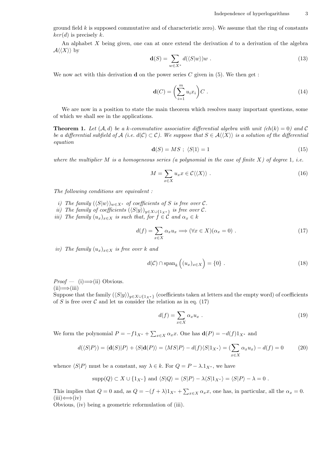ground field  $k$  is supposed commutative and of characteristic zero). We assume that the ring of constants  $ker(d)$  is precisely k.

An alphabet X being given, one can at once extend the derivation d to a derivation of the algebra  $\mathcal{A}\langle\langle X\rangle\rangle$  by

$$
\mathbf{d}(S) = \sum_{w \in X^*} d(\langle S|w \rangle) w \tag{13}
$$

We now act with this derivation **d** on the power series  $C$  given in (5). We then get :

$$
\mathbf{d}(C) = \left(\sum_{i=1}^{m} u_i x_i\right) C \tag{14}
$$

We are now in a position to state the main theorem which resolves many important questions, some of which we shall see in the applications.

**Theorem 1.** Let  $(A, d)$  be a k-commutative associative differential algebra with unit  $(ch(k) = 0)$  and C be a differential subfield of A (i.e.  $d(C) \subset C$ ). We suppose that  $S \in \mathcal{A}\langle\langle X \rangle\rangle$  is a solution of the differential equation

$$
\mathbf{d}(S) = MS ; \ \langle S|1 \rangle = 1 \tag{15}
$$

where the multiplier M is a homogeneous series (a polynomial in the case of finite  $X$ ) of degree 1, i.e.

$$
M = \sum_{x \in X} u_x x \in \mathcal{C} \langle \langle X \rangle \rangle \tag{16}
$$

The following conditions are equivalent :

- i) The family  $(\langle S|w\rangle)_{w\in X^*}$  of coefficients of S is free over C.
- ii) The family of coefficients  $(\langle S|y \rangle)_{y \in X \cup \{1_X * \}}$  is free over C.
- iii) The family  $(u_x)_{x\in X}$  is such that, for  $f \in \mathcal{C}$  and  $\alpha_x \in k$

$$
d(f) = \sum_{x \in X} \alpha_x u_x \Longrightarrow (\forall x \in X)(\alpha_x = 0) . \tag{17}
$$

iv) The family  $(u_x)_{x\in X}$  is free over k and

$$
d(\mathcal{C}) \cap \text{span}_{k} \left( (u_x)_{x \in X} \right) = \{0\} \ . \tag{18}
$$

 $Proof - (i) \Longrightarrow$ (ii) Obvious.  $(ii) \Longrightarrow (iii)$ 

Suppose that the family  $(\langle S|y \rangle)_{y \in X \cup \{1_X * \}}$  (coefficients taken at letters and the empty word) of coefficients of S is free over C and let us consider the relation as in eq.  $(17)$ 

$$
d(f) = \sum_{x \in X} \alpha_x u_x \tag{19}
$$

We form the polynomial  $P = -f1_{X^*} + \sum_{x \in X} \alpha_x x$ . One has  $\mathbf{d}(P) = -d(f)1_{X^*}$  and

$$
d(\langle S|P \rangle) = \langle \mathbf{d}(S)|P \rangle + \langle S|\mathbf{d}(P) \rangle = \langle MS|P \rangle - d(f)\langle S|1_{X^*} \rangle = (\sum_{x \in X} \alpha_x u_x) - d(f) = 0 \tag{20}
$$

whence  $\langle S|P \rangle$  must be a constant, say  $\lambda \in k$ . For  $Q = P - \lambda \cdot 1_{X^*}$ , we have

$$
supp(Q) \subset X \cup \{1_{X^*}\}\
$$
and  $\langle S|Q\rangle = \langle S|P\rangle - \lambda \langle S|1_{X^*}\rangle = \langle S|P\rangle - \lambda = 0$ .

This implies that  $Q = 0$  and, as  $Q = -(f + \lambda)1_{X^*} + \sum_{x \in X} \alpha_x x$ , one has, in particular, all the  $\alpha_x = 0$ .  $(iii) \Leftrightarrow (iv)$ 

Obvious, (iv) being a geometric reformulation of (iii).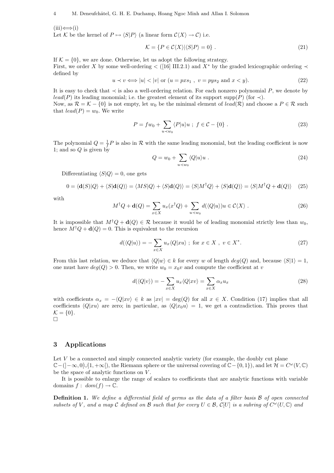$(iii) \Leftrightarrow (i)$ 

Let K be the kernel of  $P \mapsto \langle S|P \rangle$  (a linear form  $C\langle X \rangle \to C$ ) i.e.

$$
\mathcal{K} = \{ P \in \mathcal{C}\langle X \rangle | \langle S | P \rangle = 0 \} . \tag{21}
$$

If  $\mathcal{K} = \{0\}$ , we are done. Otherwise, let us adopt the following strategy. First, we order X by some well-ordering  $\lt$  ([16] III.2.1) and  $X^*$  by the graded lexicographic ordering  $\lt$ defined by

$$
u \prec v \Longleftrightarrow |u| < |v| \text{ or } (u = pxs_1 , v = pys_2 \text{ and } x < y).
$$
 (22)

It is easy to check that  $\prec$  is also a well-ordering relation. For each nonzero polynomial P, we denote by lead(P) its leading monomial; i.e. the greatest element of its support supp(P) (for  $\prec$ ).

Now, as  $\mathcal{R} = \mathcal{K} - \{0\}$  is not empty, let  $w_0$  be the minimal element of  $lead(\mathcal{R})$  and choose a  $P \in \mathcal{R}$  such that  $lead(P) = w_0$ . We write

$$
P = fw_0 + \sum_{u \prec w_0} \langle P | u \rangle u \; ; \; f \in \mathcal{C} - \{0\} \; . \tag{23}
$$

The polynomial  $Q = \frac{1}{f}P$  is also in R with the same leading monomial, but the leading coefficient is now 1; and so  $Q$  is given by  $\overline{a}$ 

$$
Q = w_0 + \sum_{u \prec w_0} \langle Q | u \rangle u \ . \tag{24}
$$

Differentiating  $\langle S|Q\rangle = 0$ , one gets

$$
0 = \langle \mathbf{d}(S)|Q\rangle + \langle S|\mathbf{d}(Q)\rangle = \langle MS|Q\rangle + \langle S|\mathbf{d}(Q)\rangle = \langle S|M^{\dagger}Q\rangle + \langle S|\mathbf{d}(Q)\rangle = \langle S|M^{\dagger}Q + \mathbf{d}(Q)\rangle
$$
 (25)

with

$$
M^{\dagger}Q + \mathbf{d}(Q) = \sum_{x \in X} u_x(x^{\dagger}Q) + \sum_{u \prec w_0} d(\langle Q|u \rangle)u \in \mathcal{C}\langle X \rangle.
$$
 (26)

It is impossible that  $M^{\dagger}Q + d(Q) \in \mathcal{R}$  because it would be of leading monomial strictly less than  $w_0$ , hence  $M^{\dagger}Q + d(Q) = 0$ . This is equivalent to the recursion

$$
d(\langle Q|u\rangle) = -\sum_{x \in X} u_x \langle Q|xu\rangle \; ; \; \text{for } x \in X \; , \; v \in X^*.
$$
 (27)

From this last relation, we deduce that  $\langle Q|w \rangle \in k$  for every w of length  $deg(Q)$  and, because  $\langle S|1 \rangle = 1$ , one must have  $deg(Q) > 0$ . Then, we write  $w_0 = x_0v$  and compute the coefficient at v

$$
d(\langle Q|v\rangle) = -\sum_{x \in X} u_x \langle Q|xv\rangle = \sum_{x \in X} \alpha_x u_x \tag{28}
$$

with coefficients  $\alpha_x = -\langle Q|xv\rangle \in k$  as  $|xv| = \deg(Q)$  for all  $x \in X$ . Condition (17) implies that all coefficients  $\langle Q|xu\rangle$  are zero; in particular, as  $\langle Q|x_0u\rangle = 1$ , we get a contradiction. This proves that  $\mathcal{K} = \{0\}.$  $\Box$ 

# 3 Applications

Let  $V$  be a connected and simply connected analytic variety (for example, the doubly cut plane  $\mathbb{C}-(]-\infty,0[\cup]1,+\infty[$ , the Riemann sphere or the universal covering of  $\mathbb{C}-\{0,1\}$ , and let  $\mathcal{H}=C^{\omega}(V,\mathbb{C})$ be the space of analytic functions on V.

It is possible to enlarge the range of scalars to coefficients that are analytic functions with variable domains  $f: dom(f) \to \mathbb{C}$ .

Definition 1. We define a differential field of germs as the data of a filter basis  $\beta$  of open connected subsets of V, and a map C defined on B such that for every  $U \in \mathcal{B}$ ,  $\mathcal{C}[U]$  is a subring of  $C^{\omega}(U, \mathbb{C})$  and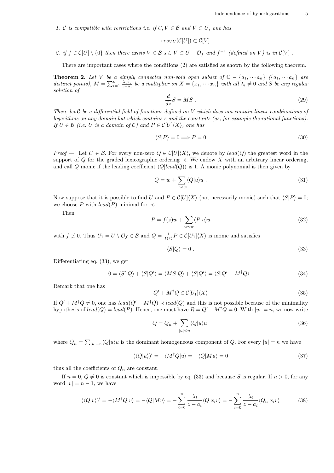1. C is compatible with restrictions i.e. if  $U, V \in \mathcal{B}$  and  $V \subset U$ , one has

$$
res_{VU}(\mathcal{C}[U]) \subset \mathcal{C}[V]
$$

2. if  $f \in \mathcal{C}[U] \setminus \{0\}$  then there exists  $V \in \mathcal{B}$  s.t.  $V \subset U - \mathcal{O}_f$  and  $f^{-1}$  (defined on V) is in  $\mathcal{C}[V]$ .

There are important cases where the conditions (2) are satisfied as shown by the following theorem.

**Theorem 2.** Let V be a simply connected non-void open subset of  $\mathbb{C} - \{a_1, \dots, a_n\}$   $\{a_1, \dots, a_n\}$  are **Theorem 2.** Let  $V$  be a simply connected non-void open subset  $o_j \mathcal{L} - \{a_1, \dots, a_n\}$   $(\{a_1, \dots, a_n\})$  are distinct points),  $M = \sum_{i=1}^n \frac{\lambda_i x_i}{z-a_i}$  be a multiplier on  $X = \{x_1, \dots x_n\}$  with all  $\lambda_i \neq 0$  and S be any solution of

$$
\frac{d}{dz}S = MS \tag{29}
$$

Then, let C be a differential field of functions defined on V which does not contain linear combinations of logarithms on any domain but which contains z and the constants (as, for example the rational functions). If  $U \in \mathcal{B}$  (i.e. U is a domain of C) and  $P \in \mathcal{C}[U|\langle X \rangle]$ , one has

$$
\langle S|P\rangle = 0 \Longrightarrow P = 0 \tag{30}
$$

*Proof* — Let  $U \in \mathcal{B}$ . For every non-zero  $Q \in \mathcal{C}[U]\langle X\rangle$ , we denote by lead(Q) the greatest word in the support of Q for the graded lexicographic ordering  $\prec$ . We endow X with an arbitrary linear ordering, and call Q monic if the leading coefficient  $\langle Q|lead(Q)\rangle$  is 1. A monic polynomial is then given by

$$
Q = w + \sum_{u \prec w} \langle Q | u \rangle u \ . \tag{31}
$$

Now suppose that it is possible to find U and  $P \in \mathcal{C}[U]\langle X\rangle$  (not necessarily monic) such that  $\langle S|P\rangle = 0$ ; we choose P with  $lead(P)$  minimal for  $\prec$ .

Then

$$
P = f(z)w + \sum_{u \prec w} \langle P|u \rangle u \tag{32}
$$

with  $f \not\equiv 0$ . Thus  $U_1 = U \setminus \mathcal{O}_f \in \mathcal{B}$  and  $Q = \frac{1}{f(z)} P \in \mathcal{C}[U_1]\langle X\rangle$  is monic and satisfies

$$
\langle S|Q\rangle = 0. \tag{33}
$$

Differentiating eq. (33), we get

$$
0 = \langle S'|Q\rangle + \langle S|Q'\rangle = \langle MS|Q\rangle + \langle S|Q'\rangle = \langle S|Q' + M^{\dagger}Q\rangle. \tag{34}
$$

Remark that one has

$$
Q' + M^{\dagger} Q \in \mathcal{C}[U_1] \langle X \rangle \tag{35}
$$

If  $Q' + M^{\dagger}Q \neq 0$ , one has  $lead(Q' + M^{\dagger}Q) \prec lead(Q)$  and this is not possible because of the minimality hypothesis of  $lead(Q) = lead(P)$ . Hence, one must have  $R = Q' + M^{\dagger}Q = 0$ . With  $|w| = n$ , we now write

$$
Q = Q_n + \sum_{|u| < n} \langle Q | u \rangle u \tag{36}
$$

where  $Q_n = \sum$  $|u| = n \langle Q | u \rangle u$  is the dominant homogeneous component of Q. For every  $|u| = n$  we have

$$
(\langle Q|u\rangle)' = -\langle M^{\dagger}Q|u\rangle = -\langle Q|Mu\rangle = 0
$$
\n(37)

thus all the coefficients of  $Q_n$  are constant.

If  $n = 0, Q \neq 0$  is constant which is impossible by eq. (33) and because S is regular. If  $n > 0$ , for any word  $|v| = n - 1$ , we have

$$
(\langle Q|v\rangle)' = -\langle M^{\dagger}Q|v\rangle = -\langle Q|Mv\rangle = -\sum_{i=0}^{n} \frac{\lambda_i}{z - a_i} \langle Q|x_i v\rangle = -\sum_{i=0}^{n} \frac{\lambda_i}{z - a_i} \langle Q_n|x_i v\rangle \tag{38}
$$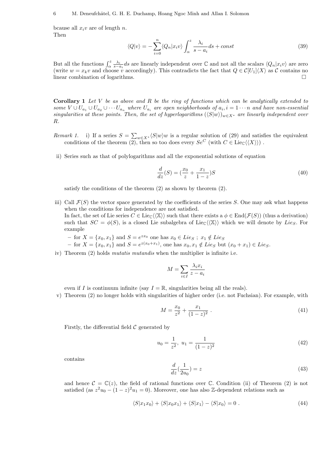bcause all  $x_i v$  are of length n. Then

$$
\langle Q|v\rangle = -\sum_{i=0}^{n} \langle Q_n|x_i v \rangle \int_{\alpha}^{z} \frac{\lambda_i}{s - a_i} ds + const
$$
\n(39)

But all the functions  $\int_{\alpha}^{z} \frac{\lambda_i}{s-a_i} ds$  are linearly independent over  $\mathbb C$  and not all the scalars  $\langle Q_n | x_i v \rangle$  are zero (write  $w = x_kv$  and choose v accordingly). This contradicts the fact that  $Q \in \mathcal{C}[U_1]\langle X\rangle$  as C contains no linear combination of logarithms.

**Corollary 1** Let V be as above and R be the ring of functions which can be analytically extended to some  $V \cup U_{a_1} \cup U_{a_2} \cup \cdots U_{a_n}$  where  $U_{a_i}$  are open neighborhoods of  $a_i, i = 1 \cdots n$  and have non-essential singularities at these points. Then, the set of hyperlogarithms  $(\langle S|w \rangle)_{w \in X^*}$  are linearly independent over R.

- Remark 1. i) If a series  $S = \sum_{w \in X^*} \langle S|w\rangle w$  is a regular solution of (29) and satisfies the equivalent conditions of the theorem  $(2)$ , then so too does every  $Se^C$  (with  $C \in \text{Lie}_{\mathbb{C}}(\langle X \rangle)$ ).
- ii) Series such as that of polylogarithms and all the exponential solutions of equation

$$
\frac{d}{dz}(S) = \left(\frac{x_0}{z} + \frac{x_1}{1-z}\right)S\tag{40}
$$

satisfy the conditions of the theorem (2) as shown by theorem (2).

- iii) Call  $\mathcal{F}(S)$  the vector space generated by the coefficients of the series S. One may ask what happens when the conditions for independence are not satisfied. In fact, the set of Lie series  $C \in \text{Lie}_{\mathbb{C}}(\langle \mathbb{X} \rangle)$  such that there exists a  $\phi \in \text{End}(\mathcal{F}(S))$  (thus a derivation) such that  $SC = \phi(S)$ , is a closed Lie subalgebra of Lie<sub>C</sub> $\langle\langle X \rangle\rangle$  which we will denote by Lie<sub>S</sub>. For example
	- for  $X = \{x_0, x_1\}$  and  $S = e^{zx_0}$  one has  $x_0 \in Lie_S$ ;  $x_1 \notin Lie_S$
	- − for  $X = \{x_0, x_1\}$  and  $S = e^{z(x_0+x_1)}$ , one has  $x_0, x_1 \notin Lie_S$  but  $(x_0+x_1) \in Lie_S$ .
- iv) Theorem (2) holds *mutatis mutandis* when the multiplier is infinite i.e.

$$
M = \sum_{i \in I} \frac{\lambda_i x_i}{z - a_i}
$$

even if I is continuum infinite (say  $I = \mathbb{R}$ , singularities being all the reals).

v) Theorem (2) no longer holds with singularities of higher order (i.e. not Fuchsian). For example, with

$$
M = \frac{x_0}{z^2} + \frac{x_1}{(1-z)^2} \tag{41}
$$

Firstly, the differential field  $\mathcal C$  generated by

$$
u_0 = \frac{1}{z^2}, \ u_1 = \frac{1}{(1-z)^2} \tag{42}
$$

contains

$$
\frac{d}{dz}\left(\frac{1}{2u_0}\right) = z\tag{43}
$$

and hence  $\mathcal{C} = \mathbb{C}(z)$ , the field of rational functions over  $\mathbb{C}$ . Condition (ii) of Theorem (2) is not satisfied (as  $z^2u_0 - (1-z)^2u_1 = 0$ ). Moreover, one has also Z-dependent relations such as

$$
\langle S|x_1x_0\rangle + \langle S|x_0x_1\rangle + \langle S|x_1\rangle - \langle S|x_0\rangle = 0.
$$
\n(44)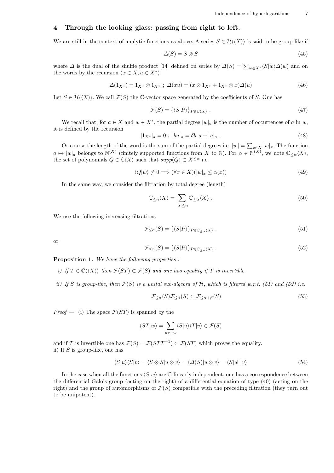# 4 Through the looking glass: passing from right to left.

We are still in the context of analytic functions as above. A series  $S \in \mathcal{H}(\langle X \rangle)$  is said to be group-like if

$$
\Delta(S) = S \otimes S \tag{45}
$$

where  $\Delta$  is the dual of the shuffle product [14] defined on series by  $\Delta(S) = \sum_{w \in X^*} \langle S|w \rangle \Delta(w)$  and on the words by the recursion  $(x \in X, u \in X^*)$ 

$$
\Delta(1_{X^*}) = 1_{X^*} \otimes 1_{X^*} \; ; \; \Delta(xu) = (x \otimes 1_{X^*} + 1_{X^*} \otimes x) \Delta(u) \tag{46}
$$

Let  $S \in \mathcal{H}(\langle X \rangle)$ . We call  $\mathcal{F}(S)$  the C-vector space generated by the coefficients of S. One has

$$
\mathcal{F}(S) = \{ \langle S|P \rangle \}_{P \in \mathbb{C} \langle X \rangle} \tag{47}
$$

We recall that, for  $a \in X$  and  $w \in X^*$ , the partial degree  $|w|_a$  is the number of occurrences of a in w, it is defined by the recursion

$$
|1_{X^*}|_a = 0 \; ; \; |bu|_a = \delta b, a + |u|_a \; . \tag{48}
$$

Or course the length of the word is the sum of the partial degrees i.e.  $|w| = \sum_{x \in X} |w|_x$ . The function  $a \mapsto |w|_a$  belongs to  $\mathbb{N}^{(X)}$  (finitely supported functions from X to  $\mathbb{N}$ ). For  $\alpha \in \mathbb{N}^{(X)}$ , we note  $\mathbb{C}_{\leq \alpha}\langle X\rangle$ , the set of polynomials  $Q \in \mathbb{C}\langle X \rangle$  such that  $supp(Q) \subset X^{\leq \alpha}$  i.e.

$$
\langle Q|w\rangle \neq 0 \Longrightarrow (\forall x \in X)(|w|_x \leq \alpha(x))\tag{49}
$$

In the same way, we consider the filtration by total degree (length)

$$
\mathbb{C}_{\leq n}\langle X\rangle = \sum_{|\alpha|\leq n} \mathbb{C}_{\leq \alpha}\langle X\rangle . \tag{50}
$$

We use the following increasing filtrations

$$
\mathcal{F}_{\leq \alpha}(S) = \{ \langle S|P \rangle \}_{P \in \mathbb{C}_{\leq \alpha} \langle X \rangle} . \tag{51}
$$

or

$$
\mathcal{F}_{\leq n}(S) = \{ \langle S|P \rangle \}_{P \in \mathbb{C}_{\leq n} \langle X \rangle} . \tag{52}
$$

**Proposition 1.** We have the following properties :

- i) If  $T \in \mathbb{C} \langle \langle X \rangle \rangle$  then  $\mathcal{F}(ST) \subset \mathcal{F}(S)$  and one has equality if T is invertible.
- ii) If S is group-like, then  $\mathcal{F}(S)$  is a unital sub-algebra of H, which is filtered w.r.t. (51) and (52) i.e.

$$
\mathcal{F}_{\leq \alpha}(S)\mathcal{F}_{\leq \beta}(S) \subset \mathcal{F}_{\leq \alpha+\beta}(S)
$$
\n(53)

*Proof* — (i) The space  $\mathcal{F}(ST)$  is spanned by the

$$
\langle ST|w\rangle = \sum_{uv=w} \langle S|u\rangle \langle T|v\rangle \in \mathcal{F}(S)
$$

and if T is invertible one has  $\mathcal{F}(S) = \mathcal{F}(STT^{-1}) \subset \mathcal{F}(ST)$  which proves the equality. ii) If  $S$  is group-like, one has

$$
\langle S|u\rangle\langle S|v\rangle = \langle S \otimes S|u \otimes v\rangle = \langle \Delta(S)|u \otimes v\rangle = \langle S|u \perp v\rangle \tag{54}
$$

In the case when all the functions  $\langle S|w \rangle$  are C-linearly independent, one has a correspondence between the differential Galois group (acting on the right) of a differential equation of type (40) (acting on the right) and the group of automorphisms of  $\mathcal{F}(S)$  compatible with the preceding filtration (they turn out to be unipotent).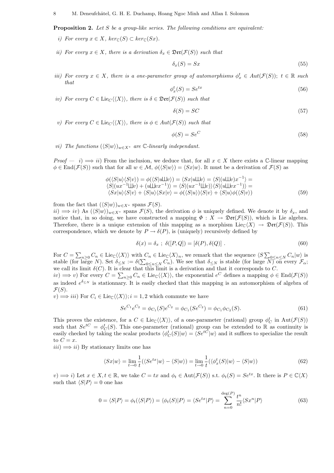**Proposition 2.** Let S be a group-like series. The following conditions are equivalent:

- i) For every  $x \in X$ ,  $ker_{\mathbb{C}}(S) \subset ker_{\mathbb{C}}(Sx)$ .
- ii) For every  $x \in X$ , there is a derivation  $\delta_x \in \mathfrak{Der}(\mathcal{F}(S))$  such that

$$
\delta_x(S) = Sx \tag{55}
$$

iii) For every  $x \in X$ , there is a one-parameter group of automorphisms  $\phi_x^t \in Aut(\mathcal{F}(S))$ ;  $t \in \mathbb{R}$  such that

$$
\phi_x^t(S) = Se^{tx} \tag{56}
$$

iv) For every  $C \in \text{Lie}_C(\langle X \rangle)$ , there is  $\delta \in \mathfrak{Der}(\mathcal{F}(S))$  such that

$$
\delta(S) = SC \tag{57}
$$

v) For every  $C \in \text{Lie}_C(\langle X \rangle)$ , there is  $\phi \in Aut(\mathcal{F}(S))$  such that

$$
\phi(S) = Se^C \tag{58}
$$

*vi*) The functions  $(\langle S|w \rangle)_{w \in X^*}$  are C-linearly independant.

*Proof* — i)  $\implies$  ii) From the inclusion, we deduce that, for all  $x \in X$  there exists a C-linear mapping  $\phi \in \text{End}(\mathcal{F}(S))$  such that for all  $w \in \mathcal{M}, \phi(\langle S|w \rangle) = \langle Sx|w \rangle$ . It must be a derivation of  $\mathcal{F}(S)$  as

$$
\phi(\langle S|u\rangle\langle S|v\rangle) = \phi(\langle S|u\Box v\rangle) = \langle Sx|u\Box v\rangle = \langle S|(u\Box v)x^{-1}\rangle =
$$
  

$$
\langle S|(ux^{-1}\Box v) + (u\Box vx^{-1})\rangle = \langle S|(ux^{-1}\Box v)\rangle\langle S|(u\Box vx^{-1})\rangle =
$$
  

$$
\langle Sx|u\rangle\langle S|v\rangle + \langle S|u\rangle\langle Sx|v\rangle = \phi(\langle S|u\rangle)\langle S|v\rangle + \langle S|u\rangle\phi(\langle S|v\rangle)
$$
 (59)

from the fact that  $(\langle S|w\rangle)_{w\in X^*}$  spans  $\mathcal{F}(S)$ .

 $ii) \implies iv)$  As  $(\langle S|w\rangle)_{w\in X^*}$  spans  $\mathcal{F}(S)$ , the derivation  $\phi$  is uniquely defined. We denote it by  $\delta_x$ , and notice that, in so doing, we have constructed a mapping  $\Phi: X \to \mathfrak{Der}(\mathcal{F}(S))$ , which is Lie algebra. Therefore, there is a unique extension of this mapping as a morphism  $Lie_{\mathbb{C}}(X) \to \mathfrak{Der}(\mathcal{F}(S))$ . This correspondence, which we denote by  $P \to \delta(P)$ , is (uniquely) recursively defined by

$$
\delta(x) = \delta_x \; ; \; \delta([P, Q]) = [\delta(P), \delta(Q)] \; . \tag{60}
$$

For  $C = \sum_{n\geq 0} C_n \in \text{Lie}_{\mathbb{C}}\langle\langle X\rangle\rangle$  with  $C_n \in \text{Lie}_{\mathbb{C}}\langle X\rangle_n$ , we remark that the sequence  $\langle S \sum_{0 \leq n \leq N} C_n |w\rangle$  is stable (for large N). Set  $\delta \leq N := \delta(\sum_{0 \leq n \leq N} C_n)$ . We see that  $\delta \leq N$  is stable (for large  $N$ ) on every  $\mathcal{F}_{\alpha}$ ; we call its limit  $\delta(C)$ . It is clear that this limit is a derivation and that it corresponds to C.

 $iv) \implies v$  For every  $C = \sum_{n\geq 0} C_n \in \text{Lie}_{\mathbb{C}}\langle\langle X\rangle\rangle$ , the exponential  $e^C$  defines a mapping  $\phi \in \text{End}(\mathcal{F}(S))$ as indeed  $e^{\delta \leq N}$  is stationnary. It is easily checked that this mapping is an automorphism of algebra of  $\mathcal{F}(S)$ .

 $(v) \Longrightarrow iii$  For  $C_i \in \text{Lie}_{\mathbb{C}}(\langle X \rangle); i = 1, 2$  which commute we have

$$
Se^{C_1}e^{C_2} = \phi_{C_1}(S)e^{C_2} = \phi_{C_1}(Se^{C_2}) = \phi_{C_1}\phi_{C_2}(S). \tag{61}
$$

This proves the existence, for a  $C \in \text{Lie}_{\mathbb{C}}(\langle X \rangle)$ , of a one-parameter (rational) group  $\phi_C^t$  in  $\text{Aut}(\mathcal{F}(S))$ such that  $Se^{tC} = \phi_C^t(S)$ . This one-parameter (rational) group can be extended to R as continuity is easily checked by taking the scalar products  $\langle \phi_C^t(S) | w \rangle = \langle S e^{tC} | w \rangle$  and it suffices to specialize the result to  $C = x$ .

 $iii) \implies ii)$  By stationary limits one has

$$
\langle Sx|w\rangle = \lim_{t \to 0} \frac{1}{t} (\langle Se^{tx}|w\rangle - \langle S|w\rangle) = \lim_{t \to 0} \frac{1}{t} (\langle \phi_x^t(S)|w\rangle - \langle S|w\rangle)
$$
(62)

 $(v) \Longrightarrow i$ ) Let  $x \in X, t \in \mathbb{R}$ , we take  $C = tx$  and  $\phi_t \in \text{Aut}(\mathcal{F}(S))$  s.t.  $\phi_t(S) = Se^{tx}$ . It there is  $P \in \mathbb{C}\langle X \rangle$ such that  $\langle S|P \rangle = 0$  one has

$$
0 = \langle S|P\rangle = \phi_t(\langle S|P\rangle) = \langle \phi_t(S)|P\rangle = \langle Se^{tx}|P\rangle = \sum_{n=0}^{\text{deg}(P)} \frac{t^n}{n!} \langle Sx^n|P\rangle \tag{63}
$$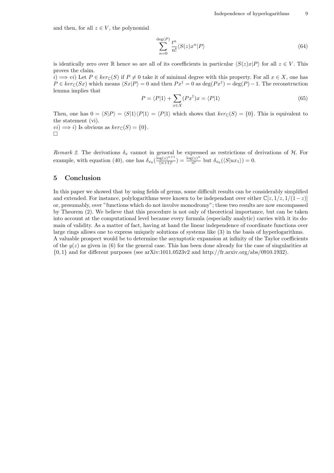and then, for all  $z \in V$ , the polynomial

$$
\sum_{n=0}^{\deg(P)} \frac{t^n}{n!} \langle S(z)x^n | P \rangle \tag{64}
$$

is identically zero over R hence so are all of its coeefficients in particular  $\langle S(z)x|P \rangle$  for all  $z \in V$ . This proves the claim.

 $i) \implies vi$ ) Let  $P \in ker_{\mathbb{C}}(S)$  if  $P \neq 0$  take it of minimal degree with this property. For all  $x \in X$ , one has  $P \in \text{ker}_{\mathbb{C}}(Sx)$  which means  $\langle Sx|P \rangle = 0$  and then  $Px^{\dagger} = 0$  as  $\deg(Px^{\dagger}) = \deg(P) - 1$ . The reconstruction lemma implies that  $\overline{\phantom{a}}$ 

$$
P = \langle P|1 \rangle + \sum_{x \in X} (Px^{\dagger})x = \langle P|1 \rangle \tag{65}
$$

Then, one has  $0 = \langle S|P\rangle = \langle S|1\rangle\langle P|1\rangle = \langle P|1\rangle$  which shows that  $ker_{\mathbb{C}}(S) = \{0\}$ . This is equivalent to the statement (vi).  $vi) \implies i$ ) Is obvious as  $ker_{\mathbb{C}}(S) = \{0\}.$  $\Box$ 

Remark 2. The derivations  $\delta_x$  cannot in general be expressed as restrictions of derivations of H. For example, with equation (40), one has  $\delta_{x_0}\left(\frac{\log(z)^{n+1}}{(n+1)!}\right) = \frac{\log(z)^n}{n!}$  $\frac{\delta(z)^n}{n!}$  but  $\delta_{x_0}(\langle S|ux_1\rangle) = 0.$ 

### 5 Conclusion

In this paper we showed that by using fields of germs, some difficult results can be considerably simplified and extended. For instance, polylogarithms were known to be independant over either  $\mathbb{C}[z, 1/z, 1/(1-z)]$ or, presumably, over "functions which do not involve monodromy"; these two results are now encompassed by Theorem (2). We believe that this procedure is not only of theoretical importance, but can be taken into account at the computational level because every formula (especially analytic) carries with it its domain of validity. As a matter of fact, having at hand the linear independence of coordinate functions over large rings allows one to express uniquely solutions of systems like (3) in the basis of hyperlogarithms. A valuable prospect would be to determine the asymptotic expansion at infinity of the Taylor coefficients of the  $y(z)$  as given in (6) for the general case. This has been done already for the case of singularities at  $\{0,1\}$  and for different purposes (see arXiv:1011.0523v2 and http://fr.arxiv.org/abs/0910.1932).